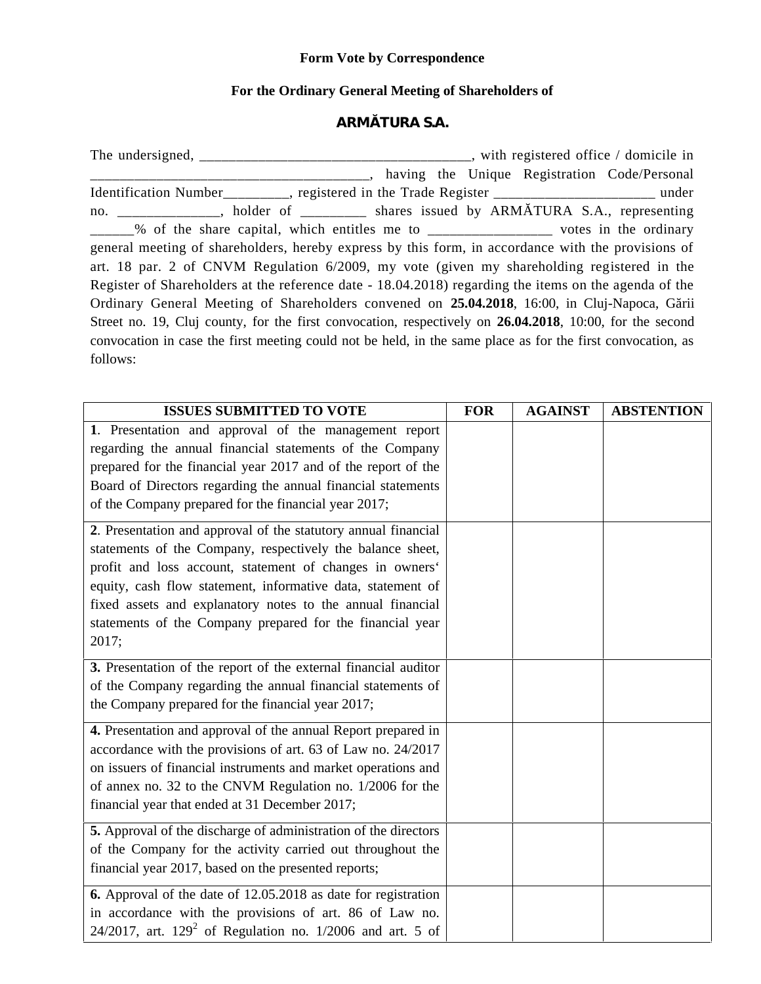## **Form Vote by Correspondence**

## **For the Ordinary General Meeting of Shareholders of**

## **ARM TURA S.A.**

The undersigned, \_\_\_\_\_\_\_\_\_\_\_\_\_\_\_\_\_\_\_\_\_\_\_\_\_\_\_\_\_\_\_\_\_\_\_, with registered office / domicile in \_\_\_\_\_\_\_\_\_\_\_\_\_\_\_\_\_\_\_\_, having the Unique Registration Code/Personal Identification Number equivalent contract in the Trade Register contract and the Trade Register contract and the Trade Register contract and the Trade Register contract and the Trade Register contract and the Trade Registe no. \_\_\_\_\_\_\_\_\_\_\_, holder of \_\_\_\_\_\_\_ shares issued by ARM TURA S.A., representing \_\_\_\_\_\_% of the share capital, which entitles me to \_\_\_\_\_\_\_\_\_\_\_\_\_\_\_\_\_ votes in the ordinary general meeting of shareholders, hereby express by this form, in accordance with the provisions of art. 18 par. 2 of CNVM Regulation 6/2009, my vote (given my shareholding registered in the Register of Shareholders at the reference date - 18.04.2018) regarding the items on the agenda of the Ordinary General Meeting of Shareholders convened on 25.04.2018, 16:00, in Cluj-Napoca, G rii Street no. 19, Cluj county, for the first convocation, respectively on **26.04.2018**, 10:00, for the second convocation in case the first meeting could not be held, in the same place as for the first convocation, as follows:

| <b>ISSUES SUBMITTED TO VOTE</b>                                       | <b>FOR</b> | <b>AGAINST</b> | <b>ABSTENTION</b> |
|-----------------------------------------------------------------------|------------|----------------|-------------------|
| 1. Presentation and approval of the management report                 |            |                |                   |
| regarding the annual financial statements of the Company              |            |                |                   |
| prepared for the financial year 2017 and of the report of the         |            |                |                   |
| Board of Directors regarding the annual financial statements          |            |                |                   |
| of the Company prepared for the financial year 2017;                  |            |                |                   |
| 2. Presentation and approval of the statutory annual financial        |            |                |                   |
| statements of the Company, respectively the balance sheet,            |            |                |                   |
| profit and loss account, statement of changes in owners'              |            |                |                   |
| equity, cash flow statement, informative data, statement of           |            |                |                   |
| fixed assets and explanatory notes to the annual financial            |            |                |                   |
| statements of the Company prepared for the financial year             |            |                |                   |
| 2017;                                                                 |            |                |                   |
| 3. Presentation of the report of the external financial auditor       |            |                |                   |
| of the Company regarding the annual financial statements of           |            |                |                   |
| the Company prepared for the financial year 2017;                     |            |                |                   |
| 4. Presentation and approval of the annual Report prepared in         |            |                |                   |
| accordance with the provisions of art. 63 of Law no. 24/2017          |            |                |                   |
| on issuers of financial instruments and market operations and         |            |                |                   |
| of annex no. 32 to the CNVM Regulation no. 1/2006 for the             |            |                |                   |
| financial year that ended at 31 December 2017;                        |            |                |                   |
| 5. Approval of the discharge of administration of the directors       |            |                |                   |
| of the Company for the activity carried out throughout the            |            |                |                   |
| financial year 2017, based on the presented reports;                  |            |                |                   |
| <b>6.</b> Approval of the date of 12.05.2018 as date for registration |            |                |                   |
| in accordance with the provisions of art. 86 of Law no.               |            |                |                   |
| 24/2017, art. $129^2$ of Regulation no. 1/2006 and art. 5 of          |            |                |                   |